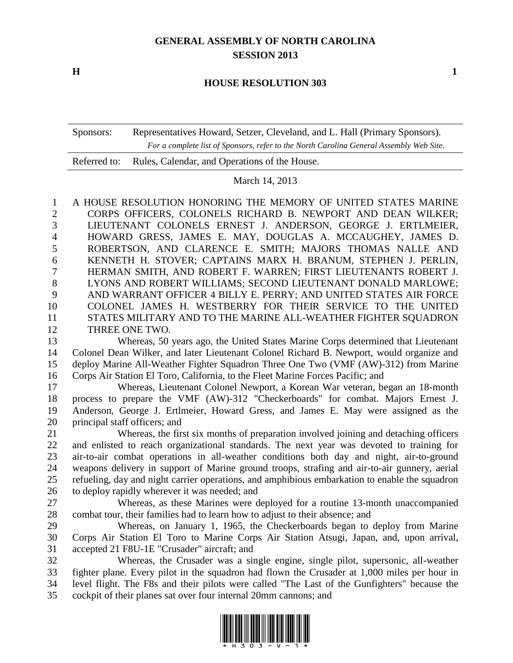## **GENERAL ASSEMBLY OF NORTH CAROLINA SESSION 2013**

**H 1**

## **HOUSE RESOLUTION 303**

Sponsors: Representatives Howard, Setzer, Cleveland, and L. Hall (Primary Sponsors). *For a complete list of Sponsors, refer to the North Carolina General Assembly Web Site.*

| Referred to: Rules, Calendar, and Operations of the House. |  |
|------------------------------------------------------------|--|
|                                                            |  |

March 14, 2013

 A HOUSE RESOLUTION HONORING THE MEMORY OF UNITED STATES MARINE CORPS OFFICERS, COLONELS RICHARD B. NEWPORT AND DEAN WILKER; LIEUTENANT COLONELS ERNEST J. ANDERSON, GEORGE J. ERTLMEIER, HOWARD GRESS, JAMES E. MAY, DOUGLAS A. MCCAUGHEY, JAMES D. ROBERTSON, AND CLARENCE E. SMITH; MAJORS THOMAS NALLE AND KENNETH H. STOVER; CAPTAINS MARX H. BRANUM, STEPHEN J. PERLIN, HERMAN SMITH, AND ROBERT F. WARREN; FIRST LIEUTENANTS ROBERT J. LYONS AND ROBERT WILLIAMS; SECOND LIEUTENANT DONALD MARLOWE; AND WARRANT OFFICER 4 BILLY E. PERRY; AND UNITED STATES AIR FORCE COLONEL JAMES H. WESTBERRY FOR THEIR SERVICE TO THE UNITED STATES MILITARY AND TO THE MARINE ALL-WEATHER FIGHTER SQUADRON THREE ONE TWO.

 Whereas, 50 years ago, the United States Marine Corps determined that Lieutenant Colonel Dean Wilker, and later Lieutenant Colonel Richard B. Newport, would organize and deploy Marine All-Weather Fighter Squadron Three One Two (VMF (AW)-312) from Marine Corps Air Station El Toro, California, to the Fleet Marine Forces Pacific; and

 Whereas, Lieutenant Colonel Newport, a Korean War veteran, began an 18-month process to prepare the VMF (AW)-312 "Checkerboards" for combat. Majors Ernest J. Anderson, George J. Ertlmeier, Howard Gress, and James E. May were assigned as the principal staff officers; and

 Whereas, the first six months of preparation involved joining and detaching officers and enlisted to reach organizational standards. The next year was devoted to training for air-to-air combat operations in all-weather conditions both day and night, air-to-ground weapons delivery in support of Marine ground troops, strafing and air-to-air gunnery, aerial refueling, day and night carrier operations, and amphibious embarkation to enable the squadron to deploy rapidly wherever it was needed; and

 Whereas, as these Marines were deployed for a routine 13-month unaccompanied combat tour, their families had to learn how to adjust to their absence; and

 Whereas, on January 1, 1965, the Checkerboards began to deploy from Marine Corps Air Station El Toro to Marine Corps Air Station Atsugi, Japan, and, upon arrival, accepted 21 F8U-1E "Crusader" aircraft; and

 Whereas, the Crusader was a single engine, single pilot, supersonic, all-weather fighter plane. Every pilot in the squadron had flown the Crusader at 1,000 miles per hour in level flight. The F8s and their pilots were called "The Last of the Gunfighters" because the cockpit of their planes sat over four internal 20mm cannons; and